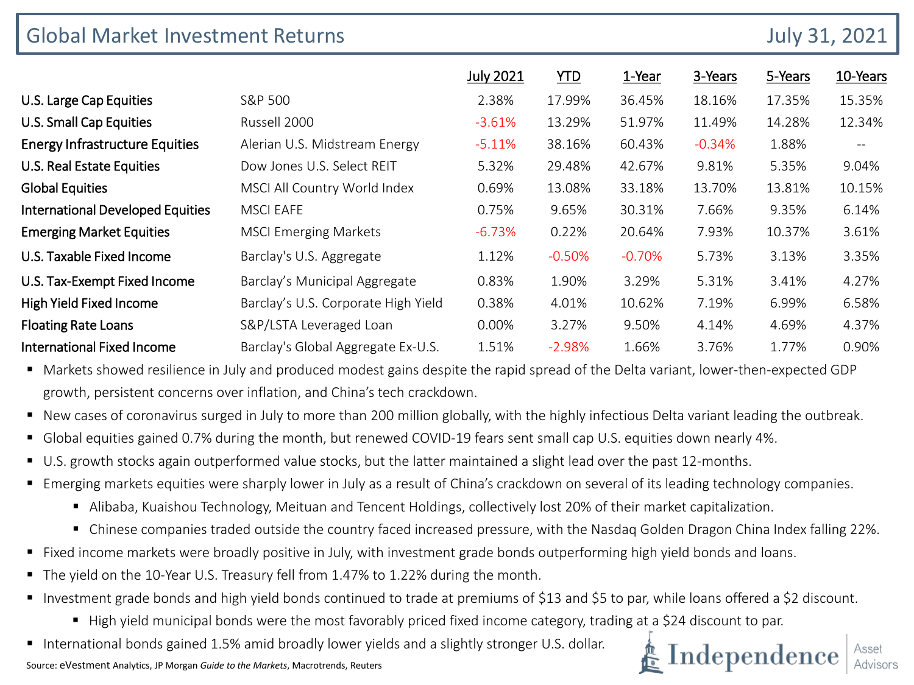| <b>Global Market Investment Returns</b> | <b>July 31, 2021</b>                |                  |            |          |          |         |                   |
|-----------------------------------------|-------------------------------------|------------------|------------|----------|----------|---------|-------------------|
|                                         |                                     | <b>July 2021</b> | <u>YTD</u> | 1-Year   | 3-Years  | 5-Years | 10-Years          |
| U.S. Large Cap Equities                 | S&P 500                             | 2.38%            | 17.99%     | 36.45%   | 18.16%   | 17.35%  | 15.35%            |
| U.S. Small Cap Equities                 | Russell 2000                        | $-3.61%$         | 13.29%     | 51.97%   | 11.49%   | 14.28%  | 12.34%            |
| <b>Energy Infrastructure Equities</b>   | Alerian U.S. Midstream Energy       | $-5.11%$         | 38.16%     | 60.43%   | $-0.34%$ | 1.88%   | $\qquad \qquad -$ |
| <b>U.S. Real Estate Equities</b>        | Dow Jones U.S. Select REIT          | 5.32%            | 29.48%     | 42.67%   | 9.81%    | 5.35%   | 9.04%             |
| <b>Global Equities</b>                  | MSCI All Country World Index        | 0.69%            | 13.08%     | 33.18%   | 13.70%   | 13.81%  | 10.15%            |
| <b>International Developed Equities</b> | <b>MSCI EAFE</b>                    | 0.75%            | 9.65%      | 30.31%   | 7.66%    | 9.35%   | 6.14%             |
| <b>Emerging Market Equities</b>         | <b>MSCI Emerging Markets</b>        | $-6.73%$         | 0.22%      | 20.64%   | 7.93%    | 10.37%  | 3.61%             |
| U.S. Taxable Fixed Income               | Barclay's U.S. Aggregate            | 1.12%            | $-0.50%$   | $-0.70%$ | 5.73%    | 3.13%   | 3.35%             |
| U.S. Tax-Exempt Fixed Income            | Barclay's Municipal Aggregate       | 0.83%            | 1.90%      | 3.29%    | 5.31%    | 3.41%   | 4.27%             |
| High Yield Fixed Income                 | Barclay's U.S. Corporate High Yield | 0.38%            | 4.01%      | 10.62%   | 7.19%    | 6.99%   | 6.58%             |
| <b>Floating Rate Loans</b>              | S&P/LSTA Leveraged Loan             | 0.00%            | 3.27%      | 9.50%    | 4.14%    | 4.69%   | 4.37%             |
| <b>International Fixed Income</b>       | Barclay's Global Aggregate Ex-U.S.  | 1.51%            | $-2.98%$   | 1.66%    | 3.76%    | 1.77%   | 0.90%             |

 Markets showed resilience in July and produced modest gains despite the rapid spread of the Delta variant, lower-then-expected GDP growth, persistent concerns over inflation, and China's tech crackdown.

- New cases of coronavirus surged in July to more than 200 million globally, with the highly infectious Delta variant leading the outbreak.
- Global equities gained 0.7% during the month, but renewed COVID-19 fears sent small cap U.S. equities down nearly 4%.
- U.S. growth stocks again outperformed value stocks, but the latter maintained a slight lead over the past 12-months.
- Emerging markets equities were sharply lower in July as a result of China's crackdown on several of its leading technology companies.
	- Alibaba, Kuaishou Technology, Meituan and Tencent Holdings, collectively lost 20% of their market capitalization.
	- Chinese companies traded outside the country faced increased pressure, with the Nasdaq Golden Dragon China Index falling 22%.
- Fixed income markets were broadly positive in July, with investment grade bonds outperforming high yield bonds and loans.
- The yield on the 10-Year U.S. Treasury fell from 1.47% to 1.22% during the month.
- Investment grade bonds and high yield bonds continued to trade at premiums of \$13 and \$5 to par, while loans offered a \$2 discount.
	- High yield municipal bonds were the most favorably priced fixed income category, trading at a \$24 discount to par.
- **International bonds gained 1.5% amid broadly lower yields and a slightly stronger U.S. dollar.**

Source: eVestment Analytics, JP Morgan *Guide to the Markets*, Macrotrends, Reuters

# Independence  $\frac{A_{\text{Sset}}}{A_{\text{divisor}}}$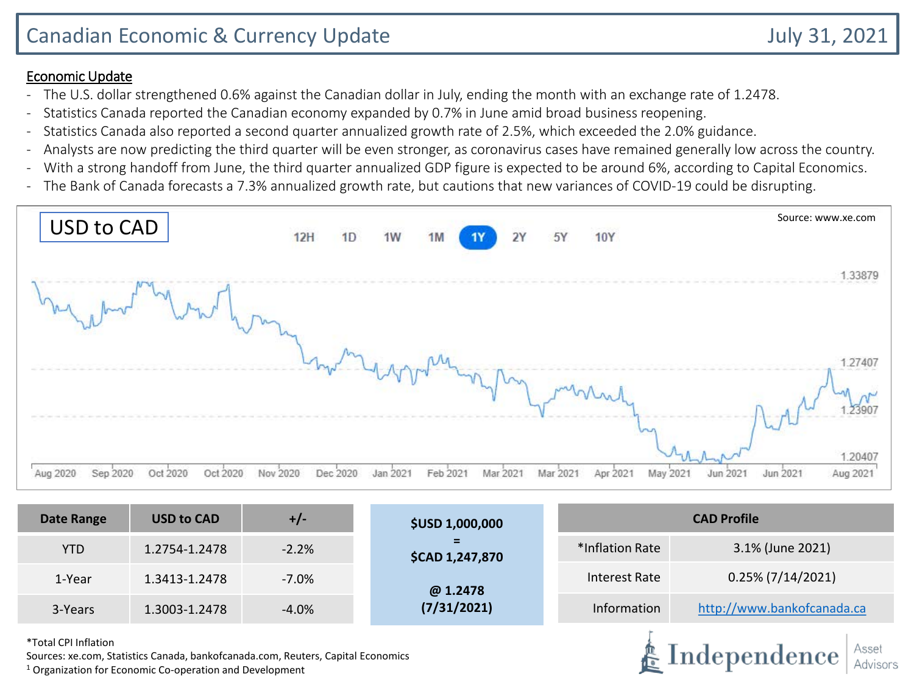- The U.S. dollar strengthened 0.6% against the Canadian dollar in July, ending the month with an exchange rate of 1.2478.
- Statistics Canada reported the Canadian economy expanded by 0.7% in June amid broad business reopening.
- Statistics Canada also reported a second quarter annualized growth rate of 2.5%, which exceeded the 2.0% guidance.
- Analysts are now predicting the third quarter will be even stronger, as coronavirus cases have remained generally low across the country.
- With a strong handoff from June, the third quarter annualized GDP figure is expected to be around 6%, according to Capital Economics.
- The Bank of Canada forecasts a 7.3% annualized growth rate, but cautions that new variances of COVID-19 could be disrupting.



| <b>Date Range</b>    | <b>USD to CAD</b>                                         | $+/-$                                                                            | <b>\$USD 1,000,000</b> | <b>CAD Profile</b>                                   |                            |  |  |
|----------------------|-----------------------------------------------------------|----------------------------------------------------------------------------------|------------------------|------------------------------------------------------|----------------------------|--|--|
| <b>YTD</b>           | 1.2754-1.2478                                             | $-2.2%$                                                                          | \$CAD 1,247,870        | *Inflation Rate                                      | 3.1% (June 2021)           |  |  |
| 1-Year               | 1.3413-1.2478                                             | $-7.0\%$                                                                         | @ 1.2478               | Interest Rate                                        | $0.25\%$ (7/14/2021)       |  |  |
| 3-Years              | 1.3003-1.2478                                             | $-4.0%$                                                                          | (7/31/2021)            | Information                                          | http://www.bankofcanada.ca |  |  |
| *Total CPI Inflation | 1 Organization for Economic Co, approtion and Douglammant | Sources: xe.com, Statistics Canada, bankofcanada.com, Reuters, Capital Economics |                        | Asset<br>$\clubsuit$ Independence $\mid$<br>Advisors |                            |  |  |

 $1$  Organization for Economic Co-operation and Development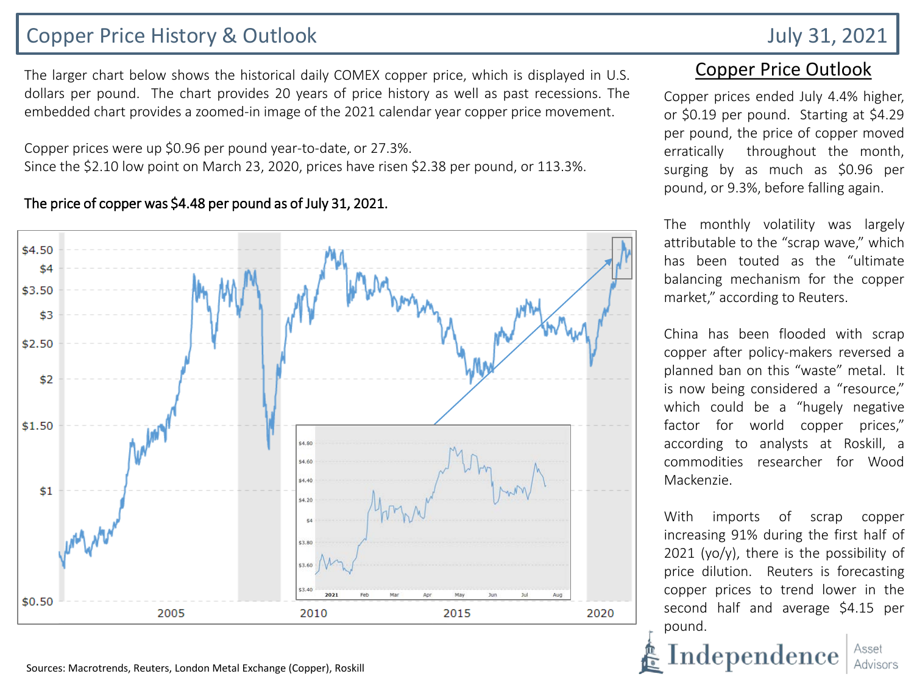# Copper Price History & Outlook July 31, 2021

The larger chart below shows the historical daily COMEX copper price, which is displayed in U.S. dollars per pound. The chart provides 20 years of price history as well as past recessions. The embedded chart provides a zoomed-in image of the 2021 calendar year copper price movement.

Copper prices were up \$0.96 per pound year-to-date, or 27.3%. Since the \$2.10 low point on March 23, 2020, prices have risen \$2.38 per pound, or 113.3%.

### The price of copper was \$4.48 per pound as of July 31, 2021.



Sources: Macrotrends, Reuters, London Metal Exchange (Copper), Roskill

## Copper Price Outlook

Copper prices ended July 4.4% higher, or \$0.19 per pound. Starting at \$4.29 per pound, the price of copper moved erratically throughout the month, surging by as much as \$0.96 per pound, or 9.3%, before falling again.

The monthly volatility was largely attributable to the "scrap wave," which has been touted as the "ultimate balancing mechanism for the copper market," according to Reuters.

China has been flooded with scrap copper after policy-makers reversed a planned ban on this "waste" metal. It is now being considered a "resource," which could be a "hugely negative factor for world copper prices," according to analysts at Roskill, a commodities researcher for Wood Mackenzie.

With imports of scrap copper increasing 91% during the first half of 2021 (yo/y), there is the possibility of price dilution. Reuters is forecasting copper prices to trend lower in the second half and average \$4.15 per pound.